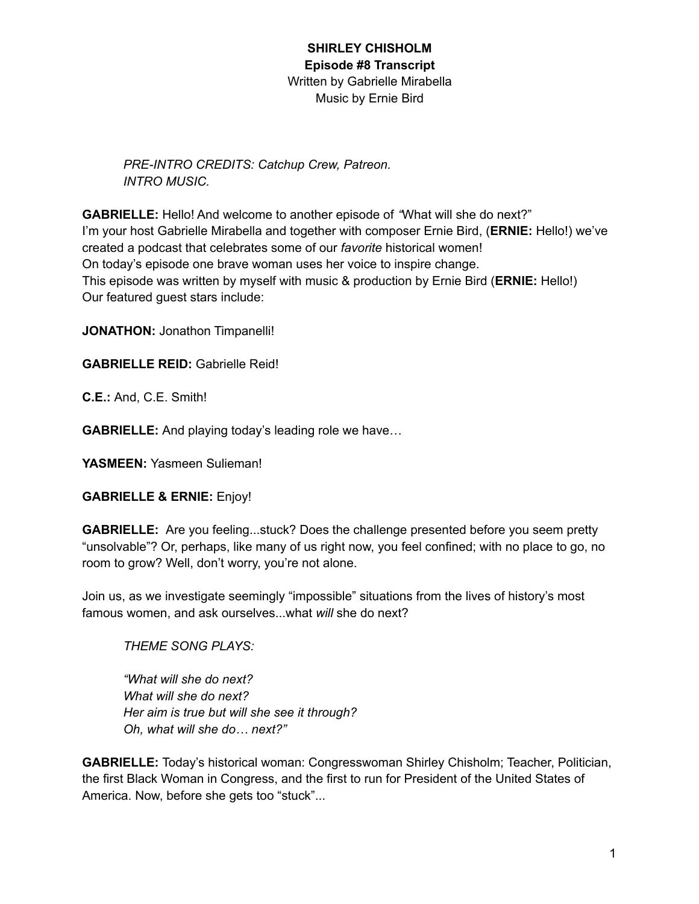*PRE-INTRO CREDITS: Catchup Crew, Patreon. INTRO MUSIC.*

**GABRIELLE:** Hello! And welcome to another episode of *"*What will she do next?" I'm your host Gabrielle Mirabella and together with composer Ernie Bird, (**ERNIE:** Hello!) we've created a podcast that celebrates some of our *favorite* historical women! On today's episode one brave woman uses her voice to inspire change. This episode was written by myself with music & production by Ernie Bird (**ERNIE:** Hello!) Our featured guest stars include:

**JONATHON:** Jonathon Timpanelli!

**GABRIELLE REID:** Gabrielle Reid!

**C.E.:** And, C.E. Smith!

**GABRIELLE:** And playing today's leading role we have…

**YASMEEN:** Yasmeen Sulieman!

**GABRIELLE & ERNIE:** Enjoy!

**GABRIELLE:** Are you feeling...stuck? Does the challenge presented before you seem pretty "unsolvable"? Or, perhaps, like many of us right now, you feel confined; with no place to go, no room to grow? Well, don't worry, you're not alone.

Join us, as we investigate seemingly "impossible" situations from the lives of history's most famous women, and ask ourselves...what *will* she do next?

*THEME SONG PLAYS:*

*"What will she do next? What will she do next? Her aim is true but will she see it through? Oh, what will she do… next?"*

**GABRIELLE:** Today's historical woman: Congresswoman Shirley Chisholm; Teacher, Politician, the first Black Woman in Congress, and the first to run for President of the United States of America. Now, before she gets too "stuck"...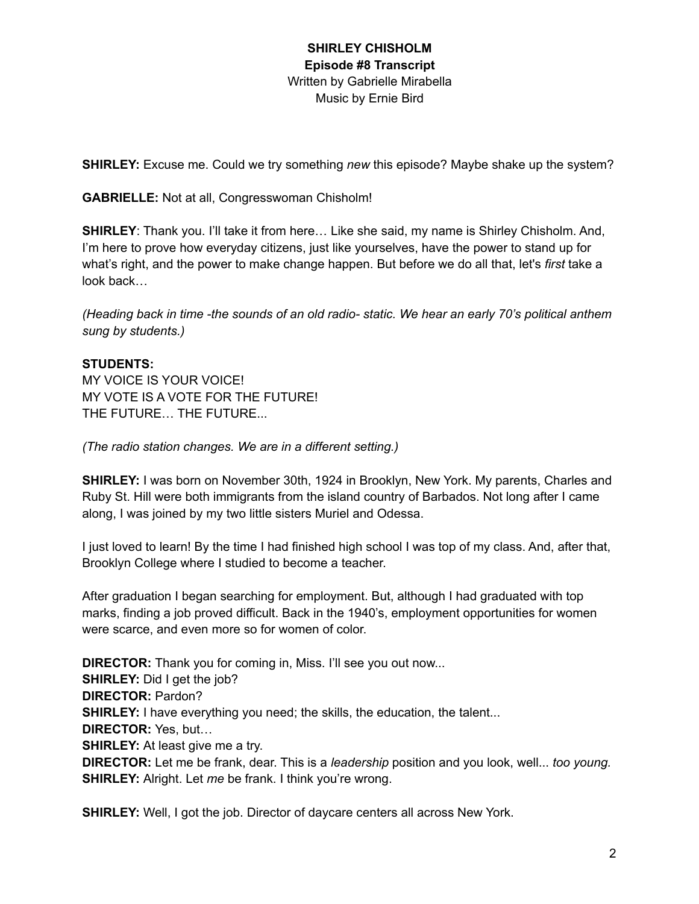**SHIRLEY:** Excuse me. Could we try something *new* this episode? Maybe shake up the system?

**GABRIELLE:** Not at all, Congresswoman Chisholm!

**SHIRLEY**: Thank you. I'll take it from here… Like she said, my name is Shirley Chisholm. And, I'm here to prove how everyday citizens, just like yourselves, have the power to stand up for what's right, and the power to make change happen. But before we do all that, let's *first* take a look back…

*(Heading back in time -the sounds of an old radio- static. We hear an early 70's political anthem sung by students.)*

#### **STUDENTS:**

MY VOICE IS YOUR VOICE! MY VOTE IS A VOTE FOR THE FUTURE! THE FUTURE… THE FUTURE...

*(The radio station changes. We are in a different setting.)*

**SHIRLEY:** I was born on November 30th, 1924 in Brooklyn, New York. My parents, Charles and Ruby St. Hill were both immigrants from the island country of Barbados. Not long after I came along, I was joined by my two little sisters Muriel and Odessa.

I just loved to learn! By the time I had finished high school I was top of my class. And, after that, Brooklyn College where I studied to become a teacher.

After graduation I began searching for employment. But, although I had graduated with top marks, finding a job proved difficult. Back in the 1940's, employment opportunities for women were scarce, and even more so for women of color.

**DIRECTOR:** Thank you for coming in, Miss. I'll see you out now... **SHIRLEY:** Did I get the job? **DIRECTOR:** Pardon? **SHIRLEY:** I have everything you need; the skills, the education, the talent... **DIRECTOR:** Yes, but… **SHIRLEY:** At least give me a try. **DIRECTOR:** Let me be frank, dear. This is a *leadership* position and you look, well... *too young.* **SHIRLEY:** Alright. Let *me* be frank. I think you're wrong.

**SHIRLEY:** Well, I got the job. Director of daycare centers all across New York.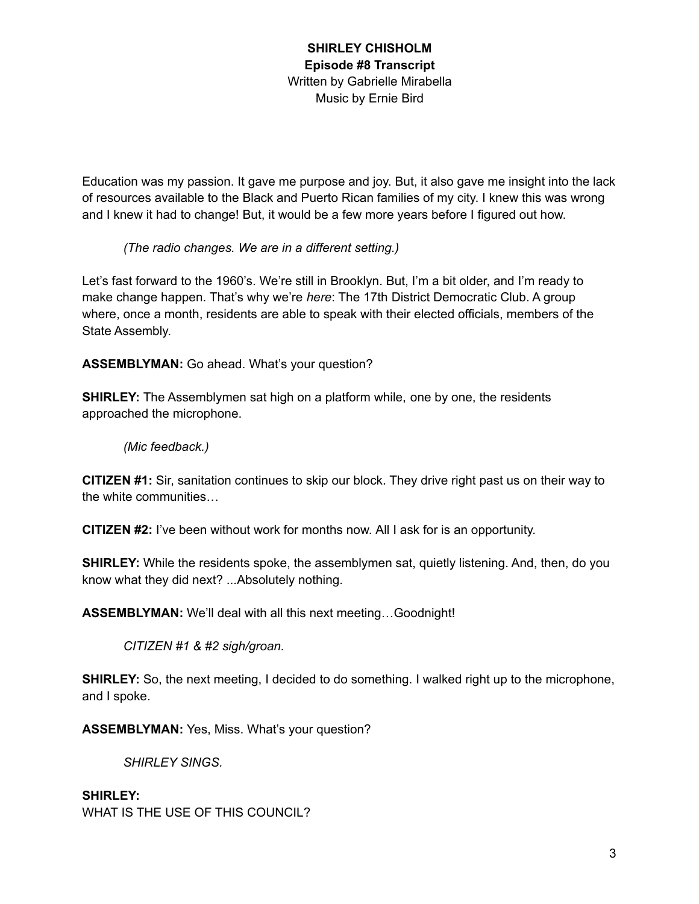Education was my passion. It gave me purpose and joy. But, it also gave me insight into the lack of resources available to the Black and Puerto Rican families of my city. I knew this was wrong and I knew it had to change! But, it would be a few more years before I figured out how.

*(The radio changes. We are in a different setting.)*

Let's fast forward to the 1960's. We're still in Brooklyn. But, I'm a bit older, and I'm ready to make change happen. That's why we're *here*: The 17th District Democratic Club. A group where, once a month, residents are able to speak with their elected officials, members of the State Assembly.

**ASSEMBLYMAN:** Go ahead. What's your question?

**SHIRLEY:** The Assemblymen sat high on a platform while, one by one, the residents approached the microphone.

*(Mic feedback.)*

**CITIZEN #1:** Sir, sanitation continues to skip our block. They drive right past us on their way to the white communities…

**CITIZEN #2:** I've been without work for months now. All I ask for is an opportunity.

**SHIRLEY:** While the residents spoke, the assemblymen sat, quietly listening. And, then, do you know what they did next? ...Absolutely nothing.

**ASSEMBLYMAN:** We'll deal with all this next meeting…Goodnight!

*CITIZEN #1 & #2 sigh/groan.*

**SHIRLEY:** So, the next meeting, I decided to do something. I walked right up to the microphone, and I spoke.

**ASSEMBLYMAN:** Yes, Miss. What's your question?

*SHIRLEY SINGS.*

**SHIRLEY:** WHAT IS THE USE OF THIS COUNCIL?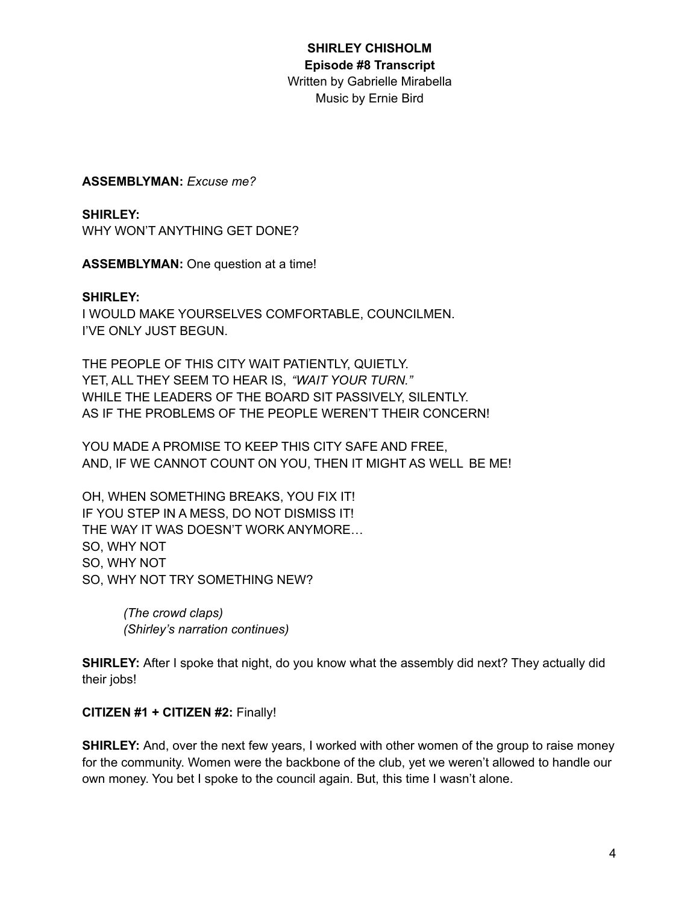#### **ASSEMBLYMAN:** *Excuse me?*

**SHIRLEY:** WHY WON'T ANYTHING GET DONE?

**ASSEMBLYMAN:** One question at a time!

#### **SHIRLEY:**

I WOULD MAKE YOURSELVES COMFORTABLE, COUNCILMEN. I'VE ONLY JUST BEGUN.

THE PEOPLE OF THIS CITY WAIT PATIENTLY, QUIETLY. YET, ALL THEY SEEM TO HEAR IS, *"WAIT YOUR TURN."* WHILE THE LEADERS OF THE BOARD SIT PASSIVELY, SILENTLY. AS IF THE PROBLEMS OF THE PEOPLE WEREN'T THEIR CONCERN!

YOU MADE A PROMISE TO KEEP THIS CITY SAFE AND FREE, AND, IF WE CANNOT COUNT ON YOU, THEN IT MIGHT AS WELL BE ME!

OH, WHEN SOMETHING BREAKS, YOU FIX IT! IF YOU STEP IN A MESS, DO NOT DISMISS IT! THE WAY IT WAS DOESN'T WORK ANYMORE… SO, WHY NOT SO, WHY NOT SO, WHY NOT TRY SOMETHING NEW?

> *(The crowd claps) (Shirley's narration continues)*

**SHIRLEY:** After I spoke that night, do you know what the assembly did next? They actually did their jobs!

#### **CITIZEN #1 + CITIZEN #2:** Finally!

**SHIRLEY:** And, over the next few years, I worked with other women of the group to raise money for the community. Women were the backbone of the club, yet we weren't allowed to handle our own money. You bet I spoke to the council again. But, this time I wasn't alone.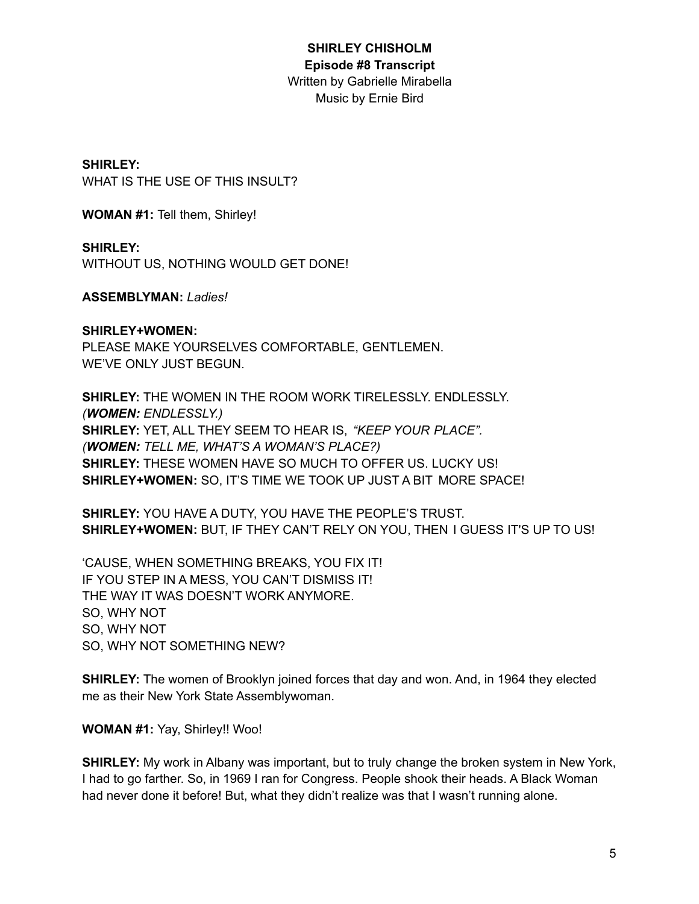**SHIRLEY:** WHAT IS THE USE OF THIS INSULT?

**WOMAN #1:** Tell them, Shirley!

**SHIRLEY:** WITHOUT US, NOTHING WOULD GET DONE!

#### **ASSEMBLYMAN:** *Ladies!*

## **SHIRLEY+WOMEN:**

PLEASE MAKE YOURSELVES COMFORTABLE, GENTLEMEN. WE'VE ONLY JUST BEGUN.

**SHIRLEY:** THE WOMEN IN THE ROOM WORK TIRELESSLY. ENDLESSLY. *(WOMEN: ENDLESSLY.)* **SHIRLEY:** YET, ALL THEY SEEM TO HEAR IS, *"KEEP YOUR PLACE". (WOMEN: TELL ME, WHAT'S A WOMAN'S PLACE?)* **SHIRLEY:** THESE WOMEN HAVE SO MUCH TO OFFER US. LUCKY US! **SHIRLEY+WOMEN:** SO, IT'S TIME WE TOOK UP JUST A BIT MORE SPACE!

**SHIRLEY:** YOU HAVE A DUTY, YOU HAVE THE PEOPLE'S TRUST. **SHIRLEY+WOMEN:** BUT, IF THEY CAN'T RELY ON YOU, THEN I GUESS IT'S UP TO US!

'CAUSE, WHEN SOMETHING BREAKS, YOU FIX IT! IF YOU STEP IN A MESS, YOU CAN'T DISMISS IT! THE WAY IT WAS DOESN'T WORK ANYMORE. SO, WHY NOT SO, WHY NOT SO, WHY NOT SOMETHING NEW?

**SHIRLEY:** The women of Brooklyn joined forces that day and won. And, in 1964 they elected me as their New York State Assemblywoman.

**WOMAN #1:** Yay, Shirley!! Woo!

**SHIRLEY:** My work in Albany was important, but to truly change the broken system in New York, I had to go farther. So, in 1969 I ran for Congress. People shook their heads. A Black Woman had never done it before! But, what they didn't realize was that I wasn't running alone.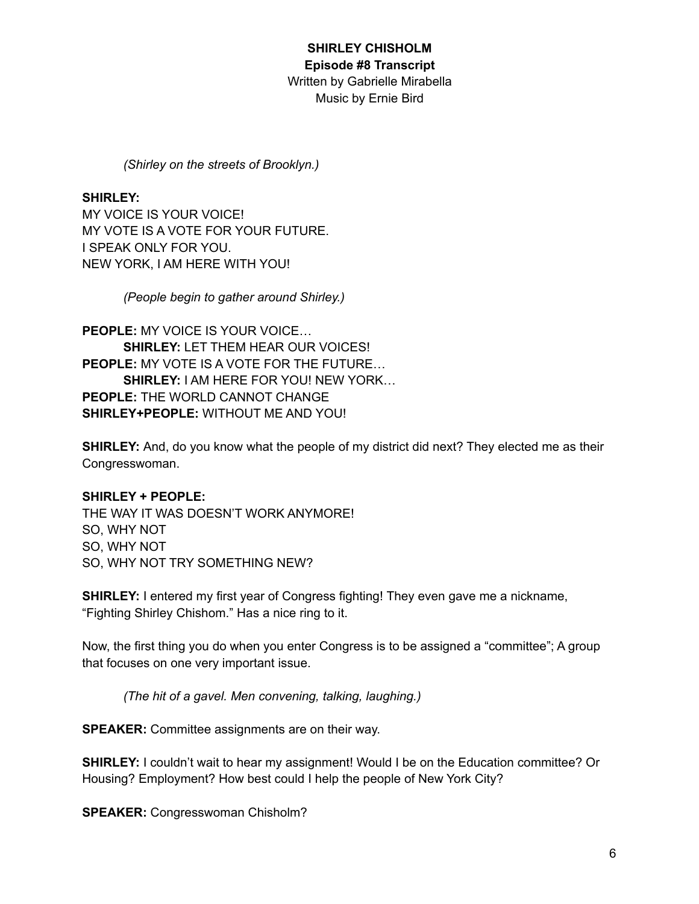# **SHIRLEY CHISHOLM Episode #8 Transcript** Written by Gabrielle Mirabella

Music by Ernie Bird

*(Shirley on the streets of Brooklyn.)*

#### **SHIRLEY:**

MY VOICE IS YOUR VOICE! MY VOTE IS A VOTE FOR YOUR FUTURE. I SPEAK ONLY FOR YOU. NEW YORK, I AM HERE WITH YOU!

*(People begin to gather around Shirley.)*

**PEOPLE:** MY VOICE IS YOUR VOICE… **SHIRLEY:** LET THEM HEAR OUR VOICES! **PEOPLE:** MY VOTE IS A VOTE FOR THE FUTURE… **SHIRLEY:** I AM HERE FOR YOU! NEW YORK… **PEOPLE:** THE WORLD CANNOT CHANGE **SHIRLEY+PEOPLE:** WITHOUT ME AND YOU!

**SHIRLEY:** And, do you know what the people of my district did next? They elected me as their Congresswoman.

#### **SHIRLEY + PEOPLE:**

THE WAY IT WAS DOESN'T WORK ANYMORE! SO, WHY NOT SO, WHY NOT SO, WHY NOT TRY SOMETHING NEW?

**SHIRLEY:** I entered my first year of Congress fighting! They even gave me a nickname, "Fighting Shirley Chishom." Has a nice ring to it.

Now, the first thing you do when you enter Congress is to be assigned a "committee"; A group that focuses on one very important issue.

*(The hit of a gavel. Men convening, talking, laughing.)*

**SPEAKER:** Committee assignments are on their way.

**SHIRLEY:** I couldn't wait to hear my assignment! Would I be on the Education committee? Or Housing? Employment? How best could I help the people of New York City?

**SPEAKER:** Congresswoman Chisholm?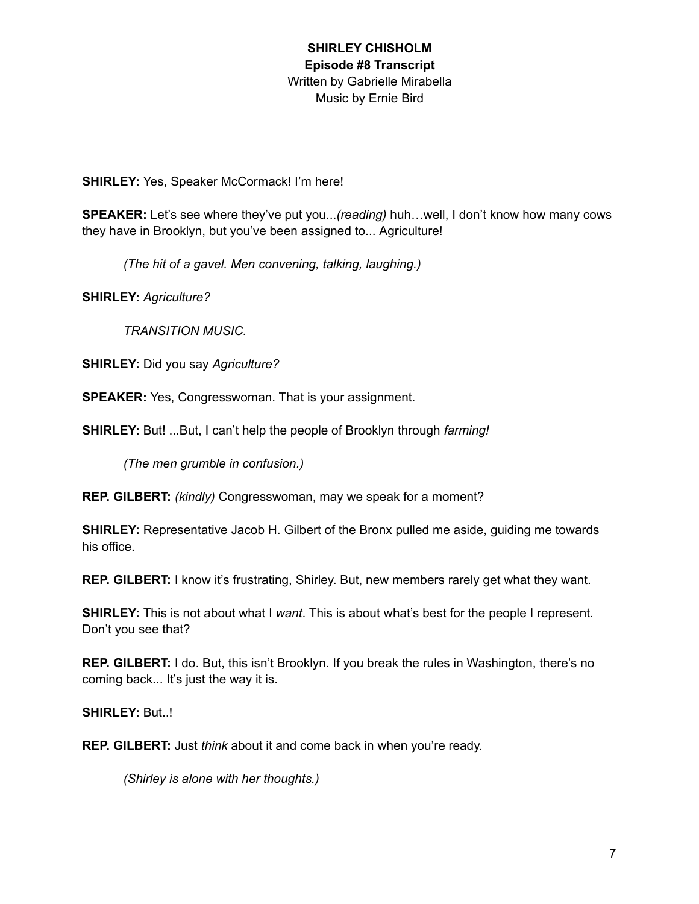**SHIRLEY:** Yes, Speaker McCormack! I'm here!

**SPEAKER:** Let's see where they've put you...*(reading)* huh…well, I don't know how many cows they have in Brooklyn, but you've been assigned to... Agriculture!

*(The hit of a gavel. Men convening, talking, laughing.)*

**SHIRLEY:** *Agriculture?*

*TRANSITION MUSIC.*

**SHIRLEY:** Did you say *Agriculture?*

**SPEAKER:** Yes, Congresswoman. That is your assignment.

**SHIRLEY:** But! ...But, I can't help the people of Brooklyn through *farming!*

*(The men grumble in confusion.)*

**REP. GILBERT:** *(kindly)* Congresswoman, may we speak for a moment?

**SHIRLEY:** Representative Jacob H. Gilbert of the Bronx pulled me aside, guiding me towards his office.

**REP. GILBERT:** I know it's frustrating, Shirley. But, new members rarely get what they want.

**SHIRLEY:** This is not about what I *want*. This is about what's best for the people I represent. Don't you see that?

**REP. GILBERT:** I do. But, this isn't Brooklyn. If you break the rules in Washington, there's no coming back... It's just the way it is.

**SHIRLEY:** But..!

**REP. GILBERT:** Just *think* about it and come back in when you're ready.

*(Shirley is alone with her thoughts.)*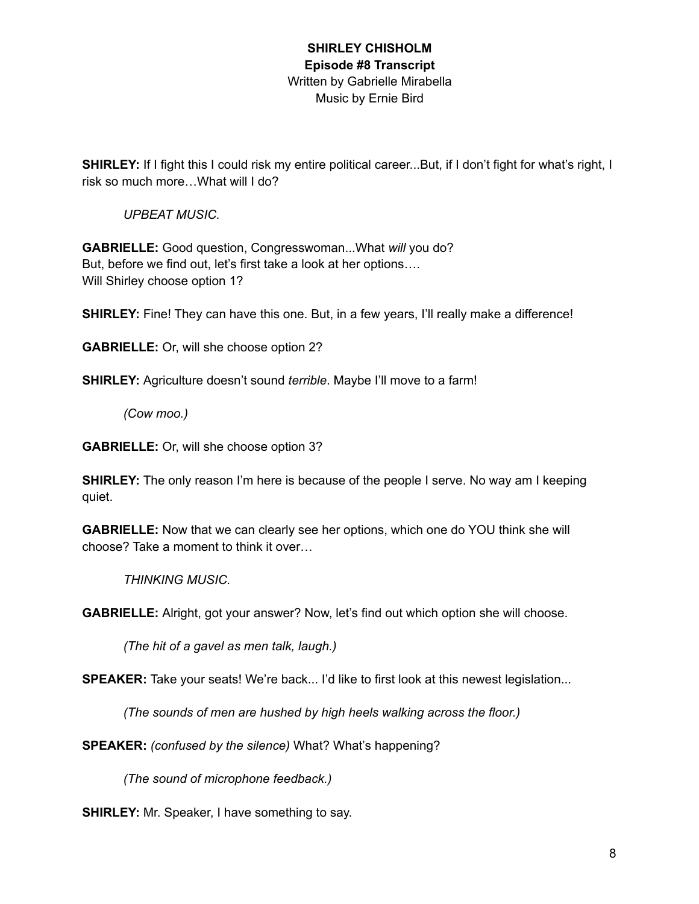**SHIRLEY:** If I fight this I could risk my entire political career...But, if I don't fight for what's right, I risk so much more…What will I do?

#### *UPBEAT MUSIC.*

**GABRIELLE:** Good question, Congresswoman...What *will* you do? But, before we find out, let's first take a look at her options…. Will Shirley choose option 1?

**SHIRLEY:** Fine! They can have this one. But, in a few years, I'll really make a difference!

**GABRIELLE:** Or, will she choose option 2?

**SHIRLEY:** Agriculture doesn't sound *terrible*. Maybe I'll move to a farm!

*(Cow moo.)*

**GABRIELLE:** Or, will she choose option 3?

**SHIRLEY:** The only reason I'm here is because of the people I serve. No way am I keeping quiet.

**GABRIELLE:** Now that we can clearly see her options, which one do YOU think she will choose? Take a moment to think it over…

*THINKING MUSIC.*

**GABRIELLE:** Alright, got your answer? Now, let's find out which option she will choose.

*(The hit of a gavel as men talk, laugh.)*

**SPEAKER:** Take your seats! We're back... I'd like to first look at this newest legislation...

*(The sounds of men are hushed by high heels walking across the floor.)*

**SPEAKER:** *(confused by the silence)* What? What's happening?

*(The sound of microphone feedback.)*

**SHIRLEY:** Mr. Speaker, I have something to say.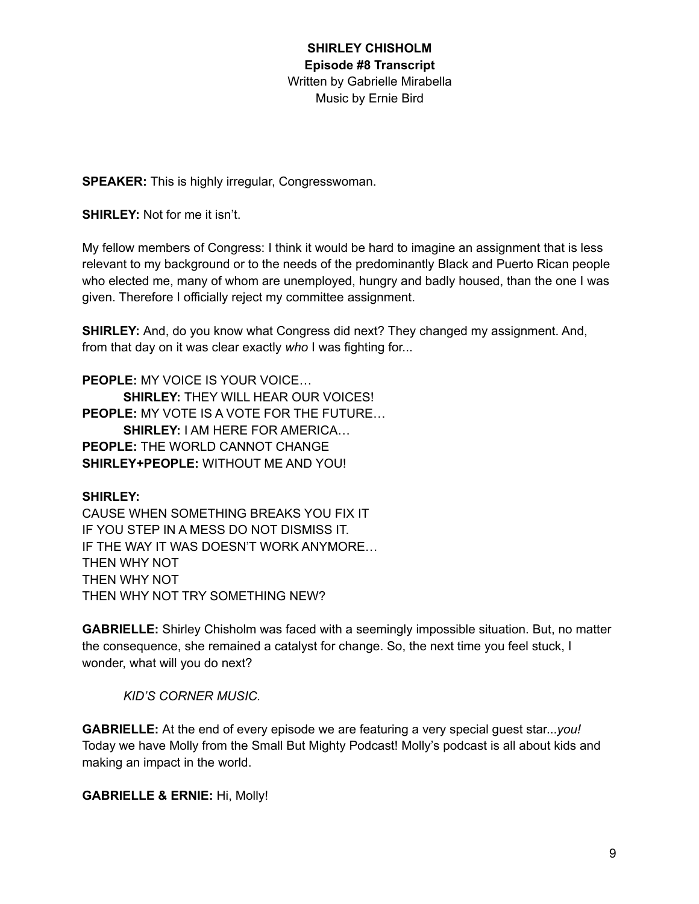**SPEAKER:** This is highly irregular, Congresswoman.

**SHIRLEY:** Not for me it isn't.

My fellow members of Congress: I think it would be hard to imagine an assignment that is less relevant to my background or to the needs of the predominantly Black and Puerto Rican people who elected me, many of whom are unemployed, hungry and badly housed, than the one I was given. Therefore I officially reject my committee assignment.

**SHIRLEY:** And, do you know what Congress did next? They changed my assignment. And, from that day on it was clear exactly *who* I was fighting for...

**PEOPLE:** MY VOICE IS YOUR VOICE… **SHIRLEY:** THEY WILL HEAR OUR VOICES! **PEOPLE:** MY VOTE IS A VOTE FOR THE FUTURE… **SHIRLEY:** I AM HERE FOR AMERICA… **PEOPLE:** THE WORLD CANNOT CHANGE **SHIRLEY+PEOPLE:** WITHOUT ME AND YOU!

# **SHIRLEY:**

CAUSE WHEN SOMETHING BREAKS YOU FIX IT IF YOU STEP IN A MESS DO NOT DISMISS IT. IF THE WAY IT WAS DOESN'T WORK ANYMORE… THEN WHY NOT THEN WHY NOT THEN WHY NOT TRY SOMETHING NEW?

**GABRIELLE:** Shirley Chisholm was faced with a seemingly impossible situation. But, no matter the consequence, she remained a catalyst for change. So, the next time you feel stuck, I wonder, what will you do next?

*KID'S CORNER MUSIC.*

**GABRIELLE:** At the end of every episode we are featuring a very special guest star...*you!* Today we have Molly from the Small But Mighty Podcast! Molly's podcast is all about kids and making an impact in the world.

**GABRIELLE & ERNIE:** Hi, Molly!